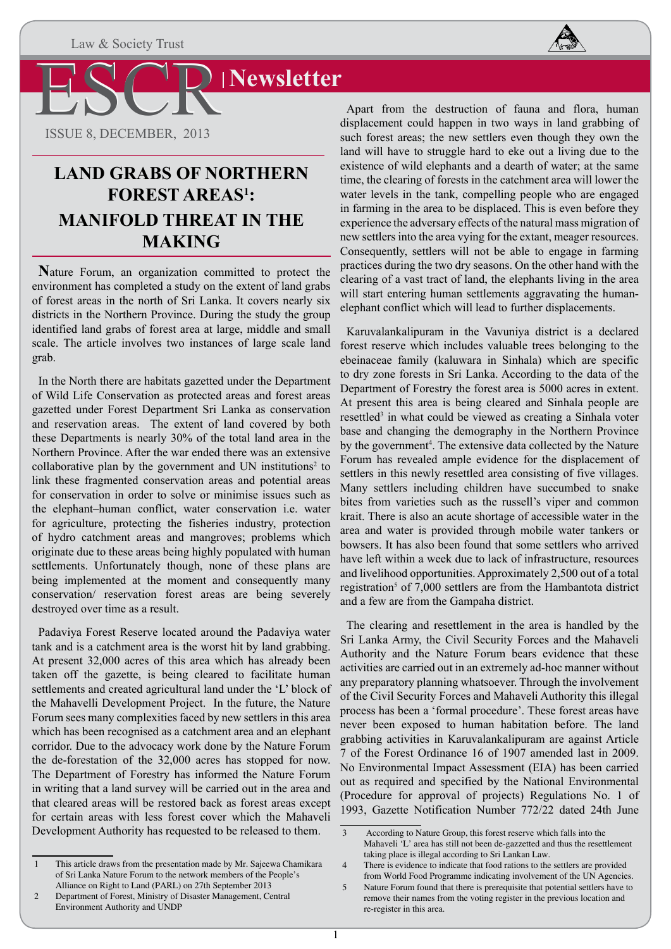

**Newsletter** 

ESCR ISSUE 8, DECEMBER, 2013

## **LAND GRABS OF NORTHERN FOREST AREAS1 : MANIFOLD THREAT IN THE MAKING**

**N**ature Forum, an organization committed to protect the environment has completed a study on the extent of land grabs of forest areas in the north of Sri Lanka. It covers nearly six districts in the Northern Province. During the study the group identified land grabs of forest area at large, middle and small scale. The article involves two instances of large scale land grab.

In the North there are habitats gazetted under the Department of Wild Life Conservation as protected areas and forest areas gazetted under Forest Department Sri Lanka as conservation and reservation areas. The extent of land covered by both these Departments is nearly 30% of the total land area in the Northern Province. After the war ended there was an extensive collaborative plan by the government and UN institutions<sup>2</sup> to link these fragmented conservation areas and potential areas for conservation in order to solve or minimise issues such as the elephant–human conflict, water conservation i.e. water for agriculture, protecting the fisheries industry, protection of hydro catchment areas and mangroves; problems which originate due to these areas being highly populated with human settlements. Unfortunately though, none of these plans are being implemented at the moment and consequently many conservation/ reservation forest areas are being severely destroyed over time as a result.

Padaviya Forest Reserve located around the Padaviya water tank and is a catchment area is the worst hit by land grabbing. At present 32,000 acres of this area which has already been taken off the gazette, is being cleared to facilitate human settlements and created agricultural land under the 'L' block of the Mahavelli Development Project. In the future, the Nature Forum sees many complexities faced by new settlers in this area which has been recognised as a catchment area and an elephant corridor. Due to the advocacy work done by the Nature Forum the de-forestation of the 32,000 acres has stopped for now. The Department of Forestry has informed the Nature Forum in writing that a land survey will be carried out in the area and that cleared areas will be restored back as forest areas except for certain areas with less forest cover which the Mahaveli Development Authority has requested to be released to them.

Apart from the destruction of fauna and flora, human displacement could happen in two ways in land grabbing of such forest areas; the new settlers even though they own the land will have to struggle hard to eke out a living due to the existence of wild elephants and a dearth of water; at the same time, the clearing of forests in the catchment area will lower the water levels in the tank, compelling people who are engaged in farming in the area to be displaced. This is even before they experience the adversary effects of the natural mass migration of new settlers into the area vying for the extant, meager resources. Consequently, settlers will not be able to engage in farming practices during the two dry seasons. On the other hand with the clearing of a vast tract of land, the elephants living in the area will start entering human settlements aggravating the humanelephant conflict which will lead to further displacements.

Karuvalankalipuram in the Vavuniya district is a declared forest reserve which includes valuable trees belonging to the ebeinaceae family (kaluwara in Sinhala) which are specific to dry zone forests in Sri Lanka. According to the data of the Department of Forestry the forest area is 5000 acres in extent. At present this area is being cleared and Sinhala people are resettled<sup>3</sup> in what could be viewed as creating a Sinhala voter base and changing the demography in the Northern Province by the government<sup>4</sup>. The extensive data collected by the Nature Forum has revealed ample evidence for the displacement of settlers in this newly resettled area consisting of five villages. Many settlers including children have succumbed to snake bites from varieties such as the russell's viper and common krait. There is also an acute shortage of accessible water in the area and water is provided through mobile water tankers or bowsers. It has also been found that some settlers who arrived have left within a week due to lack of infrastructure, resources and livelihood opportunities. Approximately 2,500 out of a total registration<sup>5</sup> of 7,000 settlers are from the Hambantota district and a few are from the Gampaha district.

The clearing and resettlement in the area is handled by the Sri Lanka Army, the Civil Security Forces and the Mahaveli Authority and the Nature Forum bears evidence that these activities are carried out in an extremely ad-hoc manner without any preparatory planning whatsoever. Through the involvement of the Civil Security Forces and Mahaveli Authority this illegal process has been a 'formal procedure'. These forest areas have never been exposed to human habitation before. The land grabbing activities in Karuvalankalipuram are against Article 7 of the Forest Ordinance 16 of 1907 amended last in 2009. No Environmental Impact Assessment (EIA) has been carried out as required and specified by the National Environmental (Procedure for approval of projects) Regulations No. 1 of 1993, Gazette Notification Number 772/22 dated 24th June

<sup>1</sup> This article draws from the presentation made by Mr. Sajeewa Chamikara of Sri Lanka Nature Forum to the network members of the People's Alliance on Right to Land (PARL) on 27th September 2013

<sup>2</sup> Department of Forest, Ministry of Disaster Management, Central Environment Authority and UNDP

<sup>3</sup> According to Nature Group, this forest reserve which falls into the Mahaveli 'L' area has still not been de-gazzetted and thus the resettlement taking place is illegal according to Sri Lankan Law.

<sup>4</sup> There is evidence to indicate that food rations to the settlers are provided from World Food Programme indicating involvement of the UN Agencies.

<sup>5</sup> Nature Forum found that there is prerequisite that potential settlers have to remove their names from the voting register in the previous location and re-register in this area.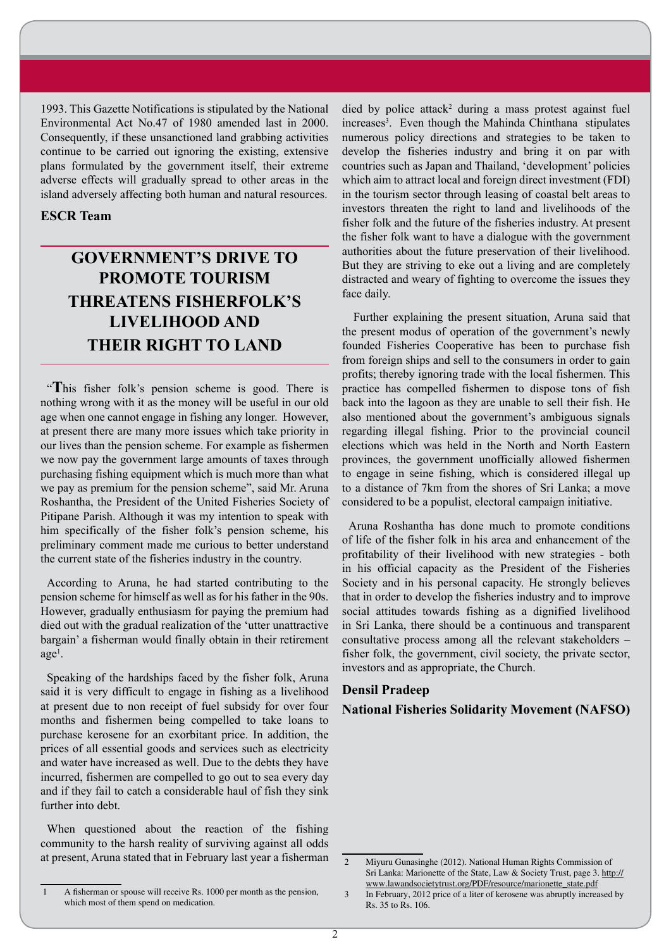1993. This Gazette Notifications is stipulated by the National Environmental Act No.47 of 1980 amended last in 2000. Consequently, if these unsanctioned land grabbing activities continue to be carried out ignoring the existing, extensive plans formulated by the government itself, their extreme adverse effects will gradually spread to other areas in the island adversely affecting both human and natural resources.

### **ESCR Team**

## **GOVERNMENT'S DRIVE TO PROMOTE TOURISM THREATENS FISHERFOLK'S LIVELIHOOD AND THEIR RIGHT TO LAND**

"**T**his fisher folk's pension scheme is good. There is nothing wrong with it as the money will be useful in our old age when one cannot engage in fishing any longer. However, at present there are many more issues which take priority in our lives than the pension scheme. For example as fishermen we now pay the government large amounts of taxes through purchasing fishing equipment which is much more than what we pay as premium for the pension scheme", said Mr. Aruna Roshantha, the President of the United Fisheries Society of Pitipane Parish. Although it was my intention to speak with him specifically of the fisher folk's pension scheme, his preliminary comment made me curious to better understand the current state of the fisheries industry in the country.

According to Aruna, he had started contributing to the pension scheme for himself as well as for his father in the 90s. However, gradually enthusiasm for paying the premium had died out with the gradual realization of the 'utter unattractive bargain' a fisherman would finally obtain in their retirement age<sup>1</sup>.

Speaking of the hardships faced by the fisher folk, Aruna said it is very difficult to engage in fishing as a livelihood at present due to non receipt of fuel subsidy for over four months and fishermen being compelled to take loans to purchase kerosene for an exorbitant price. In addition, the prices of all essential goods and services such as electricity and water have increased as well. Due to the debts they have incurred, fishermen are compelled to go out to sea every day and if they fail to catch a considerable haul of fish they sink further into debt.

When questioned about the reaction of the fishing community to the harsh reality of surviving against all odds at present, Aruna stated that in February last year a fisherman

1 A fisherman or spouse will receive Rs. 1000 per month as the pension, which most of them spend on medication.

died by police attack<sup>2</sup> during a mass protest against fuel increases<sup>3</sup>. Even though the Mahinda Chinthana stipulates numerous policy directions and strategies to be taken to develop the fisheries industry and bring it on par with countries such as Japan and Thailand, 'development' policies which aim to attract local and foreign direct investment (FDI) in the tourism sector through leasing of coastal belt areas to investors threaten the right to land and livelihoods of the fisher folk and the future of the fisheries industry. At present the fisher folk want to have a dialogue with the government authorities about the future preservation of their livelihood. But they are striving to eke out a living and are completely distracted and weary of fighting to overcome the issues they face daily.

 Further explaining the present situation, Aruna said that the present modus of operation of the government's newly founded Fisheries Cooperative has been to purchase fish from foreign ships and sell to the consumers in order to gain profits; thereby ignoring trade with the local fishermen. This practice has compelled fishermen to dispose tons of fish back into the lagoon as they are unable to sell their fish. He also mentioned about the government's ambiguous signals regarding illegal fishing. Prior to the provincial council elections which was held in the North and North Eastern provinces, the government unofficially allowed fishermen to engage in seine fishing, which is considered illegal up to a distance of 7km from the shores of Sri Lanka; a move considered to be a populist, electoral campaign initiative.

Aruna Roshantha has done much to promote conditions of life of the fisher folk in his area and enhancement of the profitability of their livelihood with new strategies - both in his official capacity as the President of the Fisheries Society and in his personal capacity. He strongly believes that in order to develop the fisheries industry and to improve social attitudes towards fishing as a dignified livelihood in Sri Lanka, there should be a continuous and transparent consultative process among all the relevant stakeholders – fisher folk, the government, civil society, the private sector, investors and as appropriate, the Church.

### **Densil Pradeep**

**National Fisheries Solidarity Movement (NAFSO)**

<sup>2</sup> Miyuru Gunasinghe (2012). National Human Rights Commission of Sri Lanka: Marionette of the State, Law & Society Trust, page 3. http:// www.lawandsocietytrust.org/PDF/resource/marionette\_state.pdf

<sup>3</sup> In February, 2012 price of a liter of kerosene was abruptly increased by Rs. 35 to Rs. 106.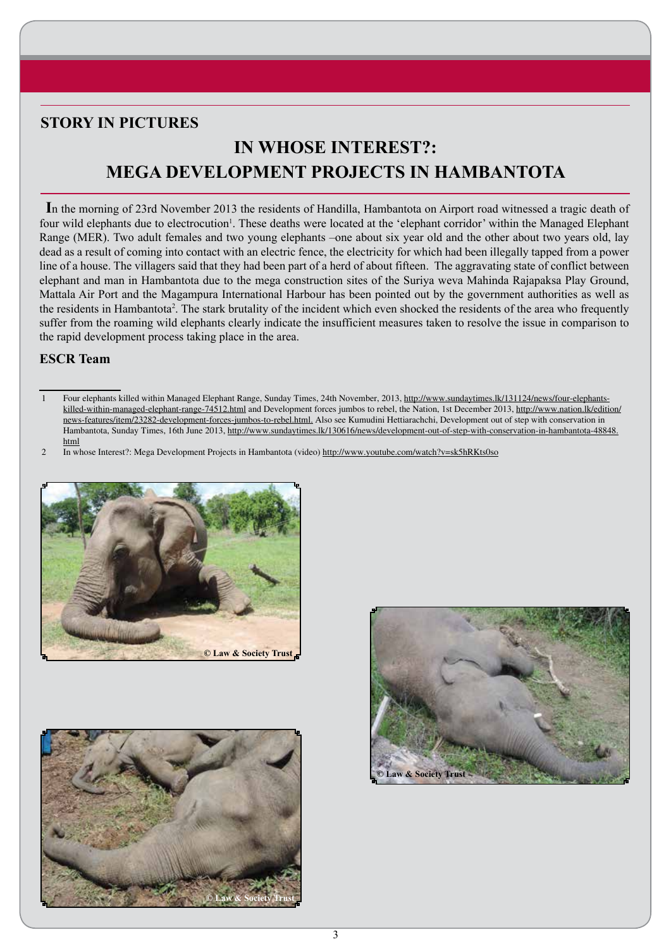## **STORY IN PICTURES**

# **IN WHOSE INTEREST?: MEGA DEVELOPMENT PROJECTS IN HAMBANTOTA**

**I**n the morning of 23rd November 2013 the residents of Handilla, Hambantota on Airport road witnessed a tragic death of four wild elephants due to electrocution<sup>1</sup>. These deaths were located at the 'elephant corridor' within the Managed Elephant Range (MER). Two adult females and two young elephants –one about six year old and the other about two years old, lay dead as a result of coming into contact with an electric fence, the electricity for which had been illegally tapped from a power line of a house. The villagers said that they had been part of a herd of about fifteen. The aggravating state of conflict between elephant and man in Hambantota due to the mega construction sites of the Suriya weva Mahinda Rajapaksa Play Ground, Mattala Air Port and the Magampura International Harbour has been pointed out by the government authorities as well as the residents in Hambantota<sup>2</sup>. The stark brutality of the incident which even shocked the residents of the area who frequently suffer from the roaming wild elephants clearly indicate the insufficient measures taken to resolve the issue in comparison to the rapid development process taking place in the area.

### **ESCR Team**

<sup>2</sup> In whose Interest?: Mega Development Projects in Hambantota (video) http://www.youtube.com/watch?v=sk5hRKts0so







<sup>1</sup> Four elephants killed within Managed Elephant Range, Sunday Times, 24th November, 2013, http://www.sundaytimes.lk/131124/news/four-elephantskilled-within-managed-elephant-range-74512.html and Development forces jumbos to rebel, the Nation, 1st December 2013, http://www.nation.lk/edition/ news-features/item/23282-development-forces-jumbos-to-rebel.html. Also see Kumudini Hettiarachchi, Development out of step with conservation in Hambantota, Sunday Times, 16th June 2013, http://www.sundaytimes.lk/130616/news/development-out-of-step-with-conservation-in-hambantota-48848. html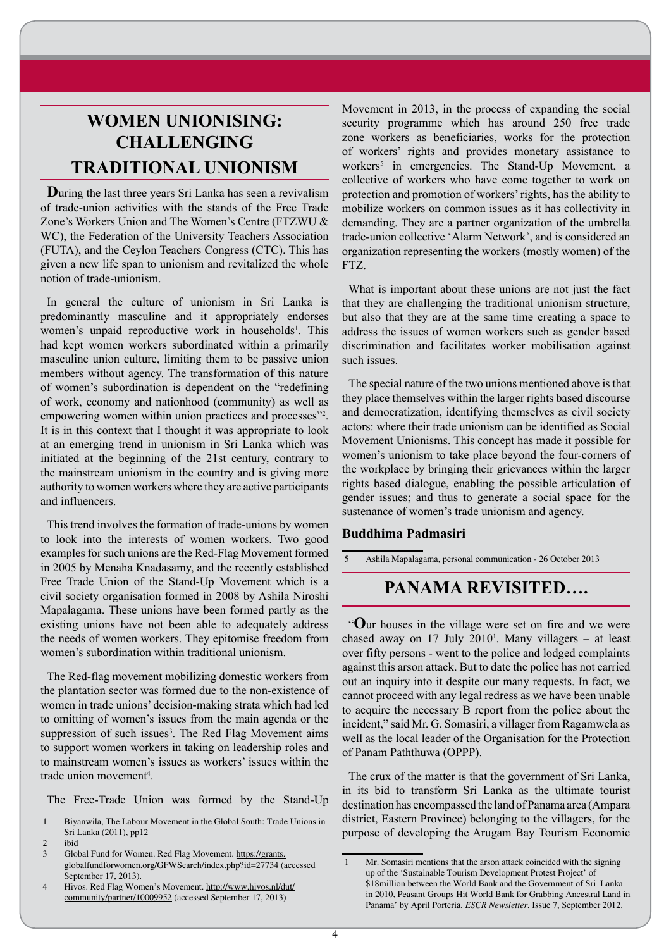# **WOMEN UNIONISING: CHALLENGING TRADITIONAL UNIONISM**

**D**uring the last three years Sri Lanka has seen a revivalism of trade-union activities with the stands of the Free Trade Zone's Workers Union and The Women's Centre (FTZWU & WC), the Federation of the University Teachers Association (FUTA), and the Ceylon Teachers Congress (CTC). This has given a new life span to unionism and revitalized the whole notion of trade-unionism.

In general the culture of unionism in Sri Lanka is predominantly masculine and it appropriately endorses women's unpaid reproductive work in households<sup>1</sup>. This had kept women workers subordinated within a primarily masculine union culture, limiting them to be passive union members without agency. The transformation of this nature of women's subordination is dependent on the "redefining of work, economy and nationhood (community) as well as empowering women within union practices and processes"2 . It is in this context that I thought it was appropriate to look at an emerging trend in unionism in Sri Lanka which was initiated at the beginning of the 21st century, contrary to the mainstream unionism in the country and is giving more authority to women workers where they are active participants and influencers.

This trend involves the formation of trade-unions by women to look into the interests of women workers. Two good examples for such unions are the Red-Flag Movement formed in 2005 by Menaha Knadasamy, and the recently established Free Trade Union of the Stand-Up Movement which is a civil society organisation formed in 2008 by Ashila Niroshi Mapalagama. These unions have been formed partly as the existing unions have not been able to adequately address the needs of women workers. They epitomise freedom from women's subordination within traditional unionism.

The Red-flag movement mobilizing domestic workers from the plantation sector was formed due to the non-existence of women in trade unions' decision-making strata which had led to omitting of women's issues from the main agenda or the suppression of such issues<sup>3</sup>. The Red Flag Movement aims to support women workers in taking on leadership roles and to mainstream women's issues as workers' issues within the trade union movement<sup>4</sup>.

The Free-Trade Union was formed by the Stand-Up

Movement in 2013, in the process of expanding the social security programme which has around 250 free trade zone workers as beneficiaries, works for the protection of workers' rights and provides monetary assistance to workers<sup>5</sup> in emergencies. The Stand-Up Movement, a collective of workers who have come together to work on protection and promotion of workers' rights, has the ability to mobilize workers on common issues as it has collectivity in demanding. They are a partner organization of the umbrella trade-union collective 'Alarm Network', and is considered an organization representing the workers (mostly women) of the FTZ.

What is important about these unions are not just the fact that they are challenging the traditional unionism structure, but also that they are at the same time creating a space to address the issues of women workers such as gender based discrimination and facilitates worker mobilisation against such issues.

The special nature of the two unions mentioned above is that they place themselves within the larger rights based discourse and democratization, identifying themselves as civil society actors: where their trade unionism can be identified as Social Movement Unionisms. This concept has made it possible for women's unionism to take place beyond the four-corners of the workplace by bringing their grievances within the larger rights based dialogue, enabling the possible articulation of gender issues; and thus to generate a social space for the sustenance of women's trade unionism and agency.

#### **Buddhima Padmasiri**

5 Ashila Mapalagama, personal communication - 26 October 2013

## **PANAMA REVISITED….**

"**O**ur houses in the village were set on fire and we were chased away on 17 July  $2010^1$ . Many villagers – at least over fifty persons - went to the police and lodged complaints against this arson attack. But to date the police has not carried out an inquiry into it despite our many requests. In fact, we cannot proceed with any legal redress as we have been unable to acquire the necessary B report from the police about the incident," said Mr. G. Somasiri, a villager from Ragamwela as well as the local leader of the Organisation for the Protection of Panam Paththuwa (OPPP).

The crux of the matter is that the government of Sri Lanka, in its bid to transform Sri Lanka as the ultimate tourist destination has encompassed the land of Panama area (Ampara district, Eastern Province) belonging to the villagers, for the purpose of developing the Arugam Bay Tourism Economic

<sup>1</sup> Biyanwila, The Labour Movement in the Global South: Trade Unions in Sri Lanka (2011), pp12

<sup>2</sup> ibid

<sup>3</sup> Global Fund for Women. Red Flag Movement. https://grants. globalfundforwomen.org/GFWSearch/index.php?id=27734 (accessed September 17, 2013).

<sup>4</sup> Hivos. Red Flag Women's Movement. http://www.hivos.nl/dut/ community/partner/10009952 (accessed September 17, 2013)

<sup>1</sup> Mr. Somasiri mentions that the arson attack coincided with the signing up of the 'Sustainable Tourism Development Protest Project' of \$18million between the World Bank and the Government of Sri Lanka in 2010, Peasant Groups Hit World Bank for Grabbing Ancestral Land in Panama' by April Porteria, *ESCR Newsletter*, Issue 7, September 2012.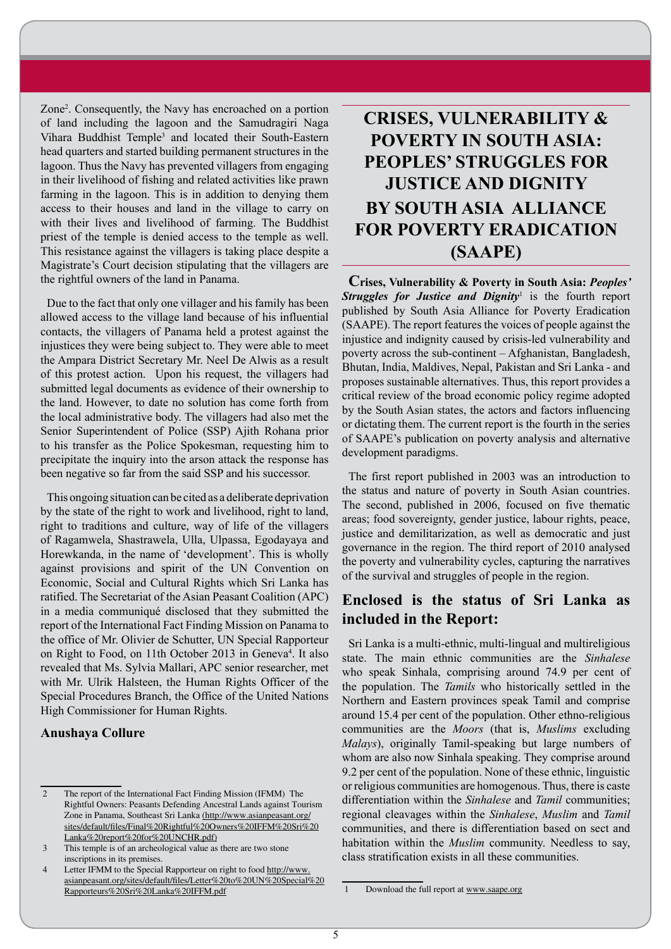Zone2 . Consequently, the Navy has encroached on a portion of land including the lagoon and the Samudragiri Naga Vihara Buddhist Temple<sup>3</sup> and located their South-Eastern head quarters and started building permanent structures in the lagoon. Thus the Navy has prevented villagers from engaging in their livelihood of fishing and related activities like prawn farming in the lagoon. This is in addition to denying them access to their houses and land in the village to carry on with their lives and livelihood of farming. The Buddhist priest of the temple is denied access to the temple as well. This resistance against the villagers is taking place despite a Magistrate's Court decision stipulating that the villagers are the rightful owners of the land in Panama.

Due to the fact that only one villager and his family has been allowed access to the village land because of his influential contacts, the villagers of Panama held a protest against the injustices they were being subject to. They were able to meet the Ampara District Secretary Mr. Neel De Alwis as a result of this protest action. Upon his request, the villagers had submitted legal documents as evidence of their ownership to the land. However, to date no solution has come forth from the local administrative body. The villagers had also met the Senior Superintendent of Police (SSP) Ajith Rohana prior to his transfer as the Police Spokesman, requesting him to precipitate the inquiry into the arson attack the response has been negative so far from the said SSP and his successor.

This ongoing situation can be cited as a deliberate deprivation by the state of the right to work and livelihood, right to land, right to traditions and culture, way of life of the villagers of Ragamwela, Shastrawela, Ulla, Ulpassa, Egodayaya and Horewkanda, in the name of 'development'. This is wholly against provisions and spirit of the UN Convention on Economic, Social and Cultural Rights which Sri Lanka has ratified. The Secretariat of the Asian Peasant Coalition (APC) in a media communiqué disclosed that they submitted the report of the International Fact Finding Mission on Panama to the office of Mr. Olivier de Schutter, UN Special Rapporteur on Right to Food, on 11th October 2013 in Geneva<sup>4</sup>. It also revealed that Ms. Sylvia Mallari, APC senior researcher, met with Mr. Ulrik Halsteen, the Human Rights Officer of the Special Procedures Branch, the Office of the United Nations High Commissioner for Human Rights.

### **Anushaya Collure**

# **CRISES, VULNERABILITY & POVERTY IN SOUTH ASIA: PEOPLES' STRUGGLES FOR JUSTICE AND DIGNITY BY SOUTH ASIA ALLIANCE FOR POVERTY ERADICATION (SAAPE)**

**Crises, Vulnerability & Poverty in South Asia:** *Peoples'*  **Struggles for Justice and Dignity**<sup>1</sup> is the fourth report published by South Asia Alliance for Poverty Eradication (SAAPE). The report features the voices of people against the injustice and indignity caused by crisis-led vulnerability and poverty across the sub-continent – Afghanistan, Bangladesh, Bhutan, India, Maldives, Nepal, Pakistan and Sri Lanka - and proposes sustainable alternatives. Thus, this report provides a critical review of the broad economic policy regime adopted by the South Asian states, the actors and factors influencing or dictating them. The current report is the fourth in the series of SAAPE's publication on poverty analysis and alternative development paradigms.

The first report published in 2003 was an introduction to the status and nature of poverty in South Asian countries. The second, published in 2006, focused on five thematic areas; food sovereignty, gender justice, labour rights, peace, justice and demilitarization, as well as democratic and just governance in the region. The third report of 2010 analysed the poverty and vulnerability cycles, capturing the narratives of the survival and struggles of people in the region.

## **Enclosed is the status of Sri Lanka as included in the Report:**

Sri Lanka is a multi-ethnic, multi-lingual and multireligious state. The main ethnic communities are the *Sinhalese*  who speak Sinhala, comprising around 74.9 per cent of the population. The *Tamils* who historically settled in the Northern and Eastern provinces speak Tamil and comprise around 15.4 per cent of the population. Other ethno-religious communities are the *Moors* (that is, *Muslims* excluding *Malays*), originally Tamil-speaking but large numbers of whom are also now Sinhala speaking. They comprise around 9.2 per cent of the population. None of these ethnic, linguistic or religious communities are homogenous. Thus, there is caste differentiation within the *Sinhalese* and *Tamil* communities; regional cleavages within the *Sinhalese*, *Muslim* and *Tamil* communities, and there is differentiation based on sect and habitation within the *Muslim* community. Needless to say, class stratification exists in all these communities.

<sup>2</sup> The report of the International Fact Finding Mission (IFMM) The Rightful Owners: Peasants Defending Ancestral Lands against Tourism Zone in Panama, Southeast Sri Lanka (http://www.asianpeasant.org/ sites/default/files/Final%20Rightful%20Owners%20IFFM%20Sri%20 Lanka%20report%20for%20UNCHR.pdf)

<sup>3</sup> This temple is of an archeological value as there are two stone inscriptions in its premises.

<sup>4</sup> Letter IFMM to the Special Rapporteur on right to food http://www. asianpeasant.org/sites/default/files/Letter%20to%20UN%20Special%20 Rapporteurs%20Sri%20Lanka%20IFFM.pdf

<sup>1</sup> Download the full report at www.saape.org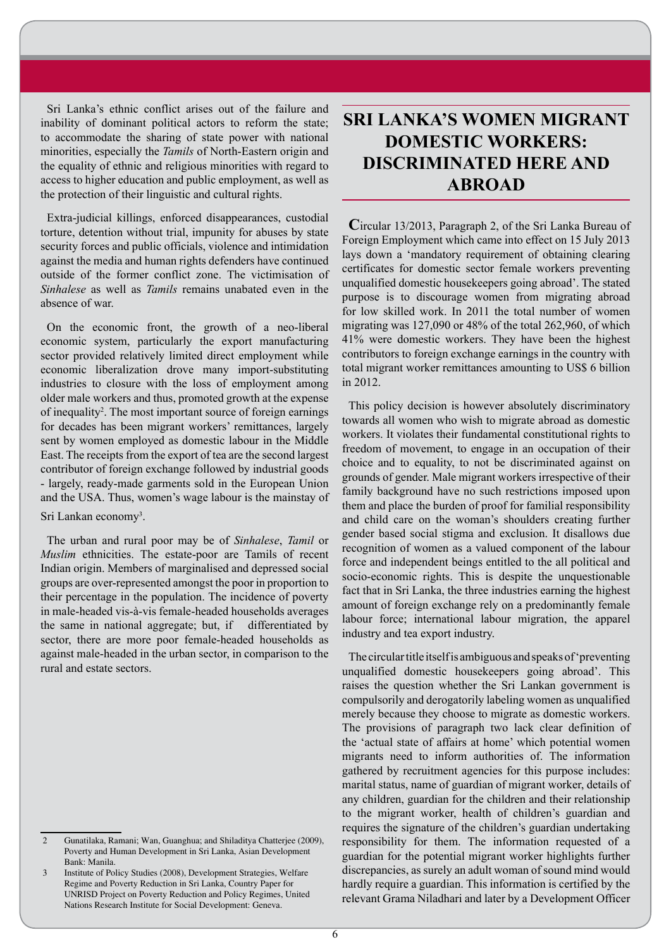Sri Lanka's ethnic conflict arises out of the failure and inability of dominant political actors to reform the state; to accommodate the sharing of state power with national minorities, especially the *Tamils* of North-Eastern origin and the equality of ethnic and religious minorities with regard to access to higher education and public employment, as well as the protection of their linguistic and cultural rights.

Extra-judicial killings, enforced disappearances, custodial torture, detention without trial, impunity for abuses by state security forces and public officials, violence and intimidation against the media and human rights defenders have continued outside of the former conflict zone. The victimisation of *Sinhalese* as well as *Tamils* remains unabated even in the absence of war.

On the economic front, the growth of a neo-liberal economic system, particularly the export manufacturing sector provided relatively limited direct employment while economic liberalization drove many import-substituting industries to closure with the loss of employment among older male workers and thus, promoted growth at the expense of inequality<sup>2</sup>. The most important source of foreign earnings for decades has been migrant workers' remittances, largely sent by women employed as domestic labour in the Middle East. The receipts from the export of tea are the second largest contributor of foreign exchange followed by industrial goods - largely, ready-made garments sold in the European Union and the USA. Thus, women's wage labour is the mainstay of

Sri Lankan economy<sup>3</sup>.

The urban and rural poor may be of *Sinhalese*, *Tamil* or *Muslim* ethnicities. The estate-poor are Tamils of recent Indian origin. Members of marginalised and depressed social groups are over-represented amongst the poor in proportion to their percentage in the population. The incidence of poverty in male-headed vis-à-vis female-headed households averages the same in national aggregate; but, if differentiated by sector, there are more poor female-headed households as against male-headed in the urban sector, in comparison to the rural and estate sectors.

## **SRI LANKA'S WOMEN MIGRANT DOMESTIC WORKERS: DISCRIMINATED HERE AND ABROAD**

**C**ircular 13/2013, Paragraph 2, of the Sri Lanka Bureau of Foreign Employment which came into effect on 15 July 2013 lays down a 'mandatory requirement of obtaining clearing certificates for domestic sector female workers preventing unqualified domestic housekeepers going abroad'. The stated purpose is to discourage women from migrating abroad for low skilled work. In 2011 the total number of women migrating was 127,090 or 48% of the total 262,960, of which 41% were domestic workers. They have been the highest contributors to foreign exchange earnings in the country with total migrant worker remittances amounting to US\$ 6 billion in 2012.

This policy decision is however absolutely discriminatory towards all women who wish to migrate abroad as domestic workers. It violates their fundamental constitutional rights to freedom of movement, to engage in an occupation of their choice and to equality, to not be discriminated against on grounds of gender. Male migrant workers irrespective of their family background have no such restrictions imposed upon them and place the burden of proof for familial responsibility and child care on the woman's shoulders creating further gender based social stigma and exclusion. It disallows due recognition of women as a valued component of the labour force and independent beings entitled to the all political and socio-economic rights. This is despite the unquestionable fact that in Sri Lanka, the three industries earning the highest amount of foreign exchange rely on a predominantly female labour force; international labour migration, the apparel industry and tea export industry.

The circular title itself is ambiguous and speaks of 'preventing unqualified domestic housekeepers going abroad'. This raises the question whether the Sri Lankan government is compulsorily and derogatorily labeling women as unqualified merely because they choose to migrate as domestic workers. The provisions of paragraph two lack clear definition of the 'actual state of affairs at home' which potential women migrants need to inform authorities of. The information gathered by recruitment agencies for this purpose includes: marital status, name of guardian of migrant worker, details of any children, guardian for the children and their relationship to the migrant worker, health of children's guardian and requires the signature of the children's guardian undertaking responsibility for them. The information requested of a guardian for the potential migrant worker highlights further discrepancies, as surely an adult woman of sound mind would hardly require a guardian. This information is certified by the relevant Grama Niladhari and later by a Development Officer

<sup>2</sup> Gunatilaka, Ramani; Wan, Guanghua; and Shiladitya Chatterjee (2009), Poverty and Human Development in Sri Lanka, Asian Development Bank: Manila.

<sup>3</sup> Institute of Policy Studies (2008), Development Strategies, Welfare Regime and Poverty Reduction in Sri Lanka, Country Paper for UNRISD Project on Poverty Reduction and Policy Regimes, United Nations Research Institute for Social Development: Geneva.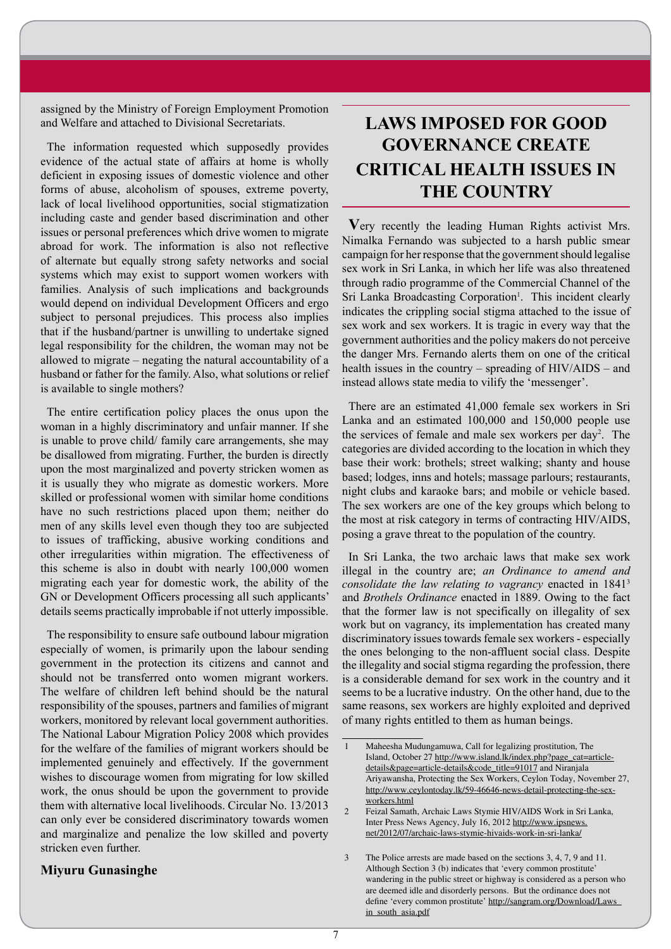assigned by the Ministry of Foreign Employment Promotion and Welfare and attached to Divisional Secretariats.

The information requested which supposedly provides evidence of the actual state of affairs at home is wholly deficient in exposing issues of domestic violence and other forms of abuse, alcoholism of spouses, extreme poverty, lack of local livelihood opportunities, social stigmatization including caste and gender based discrimination and other issues or personal preferences which drive women to migrate abroad for work. The information is also not reflective of alternate but equally strong safety networks and social systems which may exist to support women workers with families. Analysis of such implications and backgrounds would depend on individual Development Officers and ergo subject to personal prejudices. This process also implies that if the husband/partner is unwilling to undertake signed legal responsibility for the children, the woman may not be allowed to migrate – negating the natural accountability of a husband or father for the family. Also, what solutions or relief is available to single mothers?

The entire certification policy places the onus upon the woman in a highly discriminatory and unfair manner. If she is unable to prove child/ family care arrangements, she may be disallowed from migrating. Further, the burden is directly upon the most marginalized and poverty stricken women as it is usually they who migrate as domestic workers. More skilled or professional women with similar home conditions have no such restrictions placed upon them; neither do men of any skills level even though they too are subjected to issues of trafficking, abusive working conditions and other irregularities within migration. The effectiveness of this scheme is also in doubt with nearly 100,000 women migrating each year for domestic work, the ability of the GN or Development Officers processing all such applicants' details seems practically improbable if not utterly impossible.

The responsibility to ensure safe outbound labour migration especially of women, is primarily upon the labour sending government in the protection its citizens and cannot and should not be transferred onto women migrant workers. The welfare of children left behind should be the natural responsibility of the spouses, partners and families of migrant workers, monitored by relevant local government authorities. The National Labour Migration Policy 2008 which provides for the welfare of the families of migrant workers should be implemented genuinely and effectively. If the government wishes to discourage women from migrating for low skilled work, the onus should be upon the government to provide them with alternative local livelihoods. Circular No. 13/2013 can only ever be considered discriminatory towards women and marginalize and penalize the low skilled and poverty stricken even further.

### **Miyuru Gunasinghe**

# **LAWS IMPOSED FOR GOOD GOVERNANCE CREATE CRITICAL HEALTH ISSUES IN THE COUNTRY**

**V**ery recently the leading Human Rights activist Mrs. Nimalka Fernando was subjected to a harsh public smear campaign for her response that the government should legalise sex work in Sri Lanka, in which her life was also threatened through radio programme of the Commercial Channel of the Sri Lanka Broadcasting Corporation<sup>1</sup>. This incident clearly indicates the crippling social stigma attached to the issue of sex work and sex workers. It is tragic in every way that the government authorities and the policy makers do not perceive the danger Mrs. Fernando alerts them on one of the critical health issues in the country – spreading of HIV/AIDS – and instead allows state media to vilify the 'messenger'.

There are an estimated 41,000 female sex workers in Sri Lanka and an estimated 100,000 and 150,000 people use the services of female and male sex workers per day<sup>2</sup>. The categories are divided according to the location in which they base their work: brothels; street walking; shanty and house based; lodges, inns and hotels; massage parlours; restaurants, night clubs and karaoke bars; and mobile or vehicle based. The sex workers are one of the key groups which belong to the most at risk category in terms of contracting HIV/AIDS, posing a grave threat to the population of the country.

In Sri Lanka, the two archaic laws that make sex work illegal in the country are; *an Ordinance to amend and consolidate the law relating to vagrancy* enacted in 18413 and *Brothels Ordinance* enacted in 1889. Owing to the fact that the former law is not specifically on illegality of sex work but on vagrancy, its implementation has created many discriminatory issues towards female sex workers - especially the ones belonging to the non-affluent social class. Despite the illegality and social stigma regarding the profession, there is a considerable demand for sex work in the country and it seems to be a lucrative industry. On the other hand, due to the same reasons, sex workers are highly exploited and deprived of many rights entitled to them as human beings.

<sup>1</sup> Maheesha Mudungamuwa, Call for legalizing prostitution, The Island, October 27 http://www.island.lk/index.php?page\_cat=articledetails&page=article-details&code\_title=91017 and Niranjala Ariyawansha, Protecting the Sex Workers, Ceylon Today, November 27, http://www.ceylontoday.lk/59-46646-news-detail-protecting-the-sexworkers.html

<sup>2</sup> Feizal Samath, Archaic Laws Stymie HIV/AIDS Work in Sri Lanka, Inter Press News Agency, July 16, 2012 http://www.ipsnews. net/2012/07/archaic-laws-stymie-hivaids-work-in-sri-lanka/

<sup>3</sup> The Police arrests are made based on the sections 3, 4, 7, 9 and 11. Although Section 3 (b) indicates that 'every common prostitute' wandering in the public street or highway is considered as a person who are deemed idle and disorderly persons. But the ordinance does not define 'every common prostitute' http://sangram.org/Download/Laws\_ in\_south\_asia.pdf